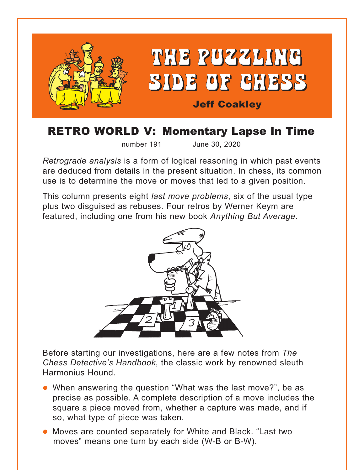

# RETRO WORLD V: Momentary Lapse In Time

number 191 June 30, 2020

*Retrograde analysis* is a form of logical reasoning in which past events are deduced from details in the present situation. In chess, its common use is to determine the move or moves that led to a given position.

This column presents eight *last move problems*, six of the usual type plus two disguised as rebuses. Four retros by Werner Keym are featured, including one from his new book *Anything But Average*.



Before starting our investigations, here are a few notes from *The Chess Detective's Handbook*, the classic work by renowned sleuth Harmonius Hound.

- When answering the question "What was the last move?", be as precise as possible. A complete description of a move includes the square a piece moved from, whether a capture was made, and if so, what type of piece was taken.
- Moves are counted separately for White and Black. "Last two moves" means one turn by each side (W-B or B-W).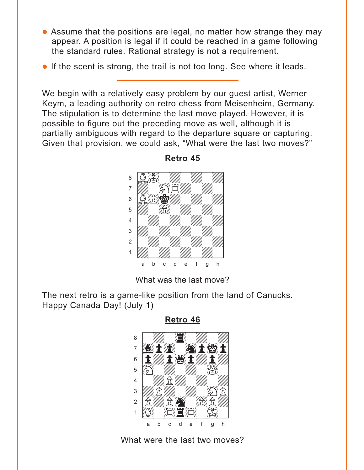- <span id="page-1-0"></span> Assume that the positions are legal, no matter how strange they may appear. A position is legal if it could be reached in a game following the standard rules. Rational strategy is not a requirement.
- **If the scent is strong, the trail is not too long. See where it leads.**

We begin with a relatively easy problem by our guest artist, Werner Keym, a leading authority on retro chess from Meisenheim, Germany. The stipulation is to determine the last move played. However, it is possible to figure out the preceding move as well, although it is partially ambiguous with regard to the departure square or capturing. Given that provision, we could ask, "What were the last two moves?"



**[Retro 45](#page-6-0)**

What was the last move?

The next retro is a game-like position from the land of Canucks. Happy Canada Day! (July 1)





What were the last two moves?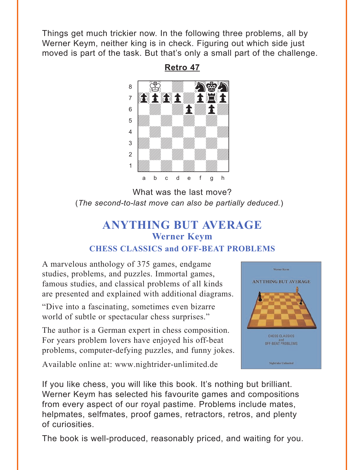<span id="page-2-0"></span>Things get much trickier now. In the following three problems, all by Werner Keym, neither king is in check. Figuring out which side just moved is part of the task. But that's only a small part of the challenge.

> where  $\frac{1}{2}$  we have the set of  $\frac{1}{2}$  $\frac{1}{2}$   $\frac{1}{2}$   $\frac{1}{2}$   $\frac{1}{2}$   $\frac{1}{2}$   $\frac{1}{2}$ 7 经主线主观  $\mathbf{s}$  with  $\mathbf{f}$  and  $\mathbf{f}$  $\overline{\mathcal{L}}$ 4 William William William William  $\frac{1}{\sqrt{2}}$ 2 | *William William William William 1* Údwdwdwdw] a b c d e f g h

What was the last move? (*The second-to-last move can also be partially deduced.*)

# **ANYTHING BUT AVERAGE Werner Keym**

### **CHESS CLASSICS and OFF-BEAT PROBLEMS**

A marvelous anthology of 375 games, endgame studies, problems, and puzzles. Immortal games, famous studies, and classical problems of all kinds are presented and explained with additional diagrams.

"Dive into a fascinating, sometimes even bizarre world of subtle or spectacular chess surprises."

The author is a German expert in chess composition. For years problem lovers have enjoyed his off-beat problems, computer-defying puzzles, and funny jokes.

Available online at: www.nightrider-unlimited.de



If you like chess, you will like this book. It's nothing but brilliant. Werner Keym has selected his favourite games and compositions from every aspect of our royal pastime. Problems include mates, helpmates, selfmates, proof games, retractors, retros, and plenty of curiosities.

The book is well-produced, reasonably priced, and waiting for you.

**[Retro 47](#page-8-0)**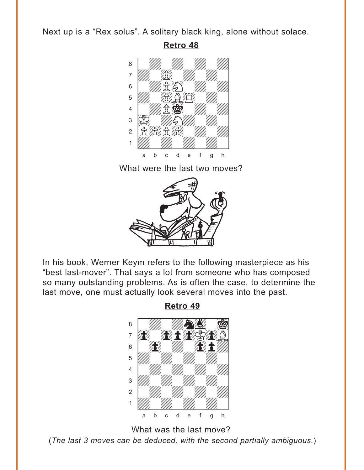<span id="page-3-0"></span>Next up is a "Rex solus". A solitary black king, alone without solace.

**[Retro 48](#page-9-0)**



What were the last two moves?



In his book, Werner Keym refers to the following masterpiece as his "best last-mover". That says a lot from someone who has composed so many outstanding problems. As is often the case, to determine the last move, one must actually look several moves into the past.

**[Retro 49](#page-11-0)**



What was the last move? (*The last 3 moves can be deduced, with the second partially ambiguous.*)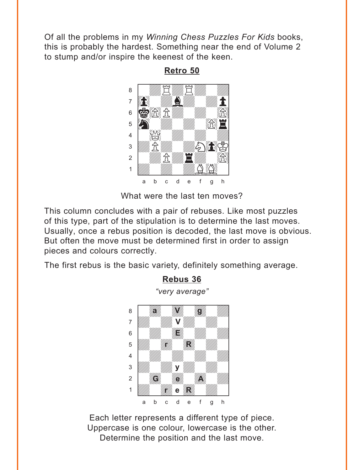<span id="page-4-0"></span>Of all the problems in my *Winning Chess Puzzles For Kids* books, this is probably the hardest. Something near the end of Volume 2 to stump and/or inspire the keenest of the keen.



**[Retro 50](#page-13-0)**

What were the last ten moves?

This column concludes with a pair of rebuses. Like most puzzles of this type, part of the stipulation is to determine the last moves. Usually, once a rebus position is decoded, the last move is obvious. But often the move must be determined first in order to assign pieces and colours correctly.

The first rebus is the basic variety, definitely something average.



**[Rebus 36](#page-15-0)** *"very average"*

Each letter represents a different type of piece. Uppercase is one colour, lowercase is the other. Determine the position and the last move.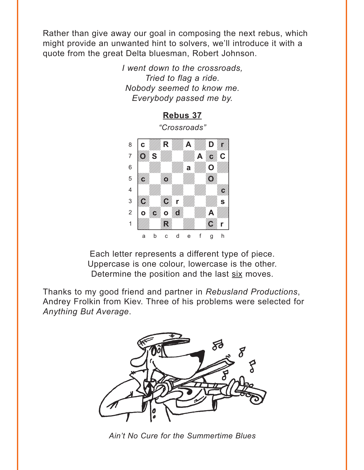<span id="page-5-0"></span>Rather than give away our goal in composing the next rebus, which might provide an unwanted hint to solvers, we'll introduce it with a quote from the great Delta bluesman, Robert Johnson.

> *I went down to the crossroads, Tried to flag a ride. Nobody seemed to know me. Everybody passed me by.*

**[Rebus 37](#page-16-0)** *"Crossroads"*  $V_{\text{D}}$  which  $\frac{1}{2}$ 8 C ////// R /////// A ///////D /////  $\overline{a}$   $\overline{a}$   $\overline{a}$   $\overline{a}$   $\overline{a}$   $\overline{a}$   $\overline{a}$   $\overline{a}$   $\overline{a}$   $\overline{a}$   $\overline{a}$   $\overline{a}$   $\overline{a}$   $\overline{a}$   $\overline{a}$   $\overline{a}$   $\overline{a}$   $\overline{a}$   $\overline{a}$   $\overline{a}$   $\overline{a}$   $\overline{a}$   $\overline{a}$   $\overline{a}$   $\overline{$  $\begin{array}{ccc} \circ & \mathbb{W} & \mathsf{a} & \mathbb{W} \end{array}$ 5 **Four House House 1997** 4 William William William Charles  $\frac{1}{2}$   $\frac{1}{2}$   $\frac{1}{2}$   $\frac{1}{2}$   $\frac{1}{2}$   $\frac{1}{2}$   $\frac{1}{2}$   $\frac{1}{2}$   $\frac{1}{2}$   $\frac{1}{2}$   $\frac{1}{2}$   $\frac{1}{2}$   $\frac{1}{2}$   $\frac{1}{2}$   $\frac{1}{2}$   $\frac{1}{2}$   $\frac{1}{2}$   $\frac{1}{2}$   $\frac{1}{2}$   $\frac{1}{2}$   $\frac{1}{2}$   $\frac{1}{2}$  2 **o**  $\frac{1}{2}$  **o**  $\frac{1}{2}$ 1 *William Hollen Hilly T* a b c d e f g h **c** *With* R *With A With D //* **OS Communication** of the communication of the communication of the communication of the communication of the co **a O c** o Organização de la Construction de la Construction de la Construction de la Construction de la Construction<br>Construit de la Construction de la Construction de la Construction de la Construction de la Construction de l **c C** San Tillin Willin S **R C r**

Each letter represents a different type of piece. Uppercase is one colour, lowercase is the other. Determine the position and the last six moves.

Thanks to my good friend and partner in *Rebusland Productions*, Andrey Frolkin from Kiev. Three of his problems were selected for *Anything But Average*.



*Ain't No Cure for the Summertime Blues*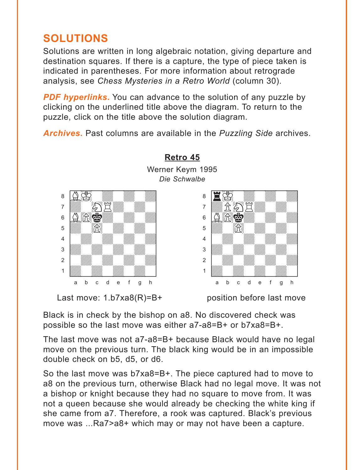# <span id="page-6-0"></span>**SOLUTIONS**

Solutions are written in long algebraic notation, giving departure and destination squares. If there is a capture, the type of piece taken is indicated in parentheses. For more information about retrograde analysis, see *Chess Mysteries in a Retro World* (column 30).

*PDF hyperlinks***.** You can advance to the solution of any puzzle by clicking on the underlined title above the diagram. To return to the puzzle, click on the title above the solution diagram.

*Archives***.** Past columns are available in the *Puzzling Side* archives.



# **[Retro 45](#page-1-0)** Werner Keym 1995

Last move: 1.b7xa8(R)=B+ position before last move

Black is in check by the bishop on a8. No discovered check was possible so the last move was either a7-a8=B+ or b7xa8=B+.

The last move was not a7-a8=B+ because Black would have no legal move on the previous turn. The black king would be in an impossible double check on b5, d5, or d6.

So the last move was b7xa8=B+. The piece captured had to move to a8 on the previous turn, otherwise Black had no legal move. It was not a bishop or knight because they had no square to move from. It was not a queen because she would already be checking the white king if she came from a7. Therefore, a rook was captured. Black's previous move was ...Ra7>a8+ which may or may not have been a capture.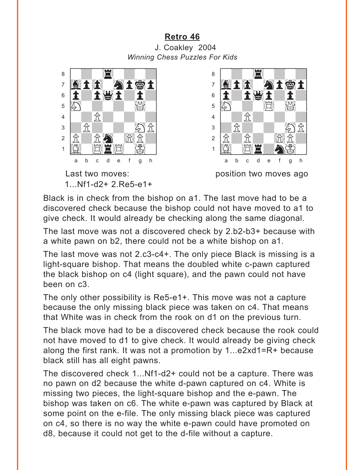## Retro 46

<span id="page-7-0"></span>J. Coakley 2004 **Winning Chess Puzzles For Kids** 





position two moves ago

Black is in check from the bishop on a1. The last move had to be a discovered check because the bishop could not have moved to a1 to give check. It would already be checking along the same diagonal.

The last move was not a discovered check by 2.b2-b3+ because with a white pawn on b2, there could not be a white bishop on a1.

The last move was not 2.c3-c4+. The only piece Black is missing is a light-square bishop. That means the doubled white c-pawn captured the black bishop on c4 (light square), and the pawn could not have been on c3.

The only other possibility is Re5-e1+. This move was not a capture because the only missing black piece was taken on c4. That means that White was in check from the rook on d1 on the previous turn.

The black move had to be a discovered check because the rook could not have moved to d1 to give check. It would already be giving check along the first rank. It was not a promotion by 1...e2xd1=R+ because black still has all eight pawns.

The discovered check 1...Nf1-d2+ could not be a capture. There was no pawn on d2 because the white d-pawn captured on c4. White is missing two pieces, the light-square bishop and the e-pawn. The bishop was taken on c6. The white e-pawn was captured by Black at some point on the e-file. The only missing black piece was captured on c4, so there is no way the white e-pawn could have promoted on d8, because it could not get to the d-file without a capture.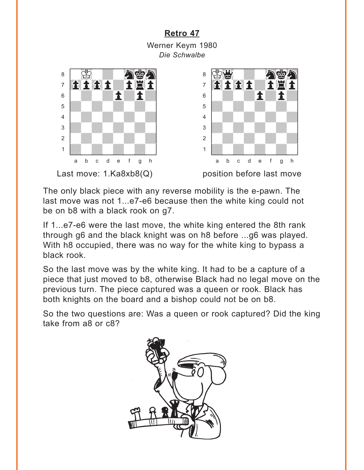## **[Retro 47](#page-2-0)**

<span id="page-8-0"></span>Werner Keym 1980 *Die Schwalbe*





The only black piece with any reverse mobility is the e-pawn. The last move was not 1...e7-e6 because then the white king could not be on b8 with a black rook on g7.

If 1...e7-e6 were the last move, the white king entered the 8th rank through g6 and the black knight was on h8 before ...g6 was played. With h8 occupied, there was no way for the white king to bypass a black rook.

So the last move was by the white king. It had to be a capture of a piece that just moved to b8, otherwise Black had no legal move on the previous turn. The piece captured was a queen or rook. Black has both knights on the board and a bishop could not be on b8.

So the two questions are: Was a queen or rook captured? Did the king take from a8 or c8?

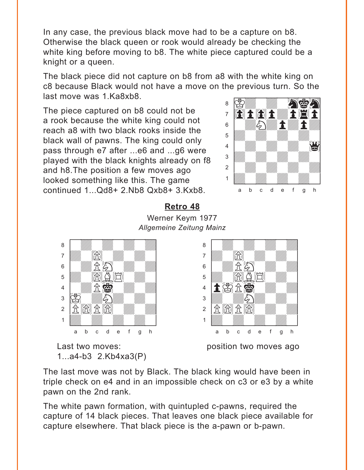<span id="page-9-0"></span>In any case, the previous black move had to be a capture on b8. Otherwise the black queen or rook would already be checking the white king before moving to b8. The white piece captured could be a knight or a queen.

The black piece did not capture on b8 from a8 with the white king on c8 because Black would not have a move on the previous turn. So the last move was 1.Ka8xb8.  $\frac{1}{2}$ 

The piece captured on b8 could not be a rook because the white king could not reach a8 with two black rooks inside the black wall of pawns. The king could only pass through e7 after ...e6 and ...g6 were played with the black knights already on f8 and h8.The position a few moves ago looked something like this. The game continued 1...Qd8+ 2.Nb8 Qxb8+ 3.Kxb8.



#### **[Retro 48](#page-3-0)**

Werner Keym 1977 *Allgemeine Zeitung Mainz*





The last move was not by Black. The black king would have been in triple check on e4 and in an impossible check on c3 or e3 by a white pawn on the 2nd rank.

The white pawn formation, with quintupled c-pawns, required the capture of 14 black pieces. That leaves one black piece available for capture elsewhere. That black piece is the a-pawn or b-pawn.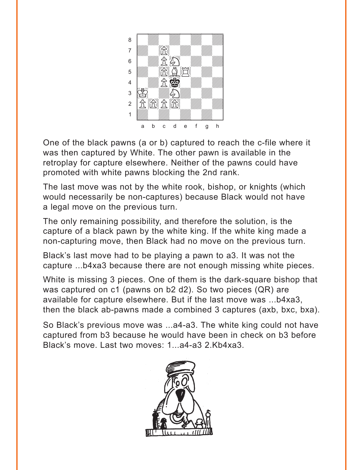

One of the black pawns (a or b) captured to reach the c-file where it was then captured by White. The other pawn is available in the retroplay for capture elsewhere. Neither of the pawns could have promoted with white pawns blocking the 2nd rank.

The last move was not by the white rook, bishop, or knights (which would necessarily be non-captures) because Black would not have a legal move on the previous turn.

The only remaining possibility, and therefore the solution, is the capture of a black pawn by the white king. If the white king made a non-capturing move, then Black had no move on the previous turn.

Black's last move had to be playing a pawn to a3. It was not the capture ...b4xa3 because there are not enough missing white pieces.

White is missing 3 pieces. One of them is the dark-square bishop that was captured on c1 (pawns on b2 d2). So two pieces (QR) are available for capture elsewhere. But if the last move was ...b4xa3, then the black ab-pawns made a combined 3 captures (axb, bxc, bxa).

So Black's previous move was ...a4-a3. The white king could not have captured from b3 because he would have been in check on b3 before Black's move. Last two moves: 1...a4-a3 2.Kb4xa3.

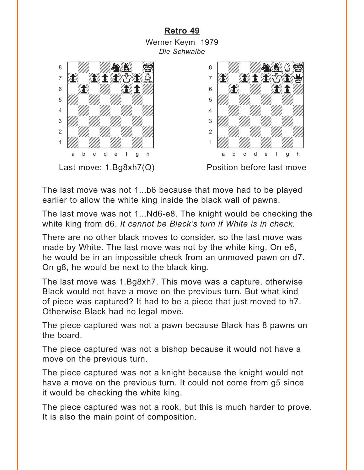#### **[Retro 49](#page-3-0)** Werner Keym 1979 *Die Schwalbe*

<span id="page-11-0"></span>



The last move was not 1...b6 because that move had to be played earlier to allow the white king inside the black wall of pawns.

The last move was not 1...Nd6-e8. The knight would be checking the white king from d6. *It cannot be Black's turn if White is in check*.

There are no other black moves to consider, so the last move was made by White. The last move was not by the white king. On e6, he would be in an impossible check from an unmoved pawn on d7. On g8, he would be next to the black king.

The last move was 1.Bg8xh7. This move was a capture, otherwise Black would not have a move on the previous turn. But what kind of piece was captured? It had to be a piece that just moved to h7. Otherwise Black had no legal move.

The piece captured was not a pawn because Black has 8 pawns on the board.

The piece captured was not a bishop because it would not have a move on the previous turn.

The piece captured was not a knight because the knight would not have a move on the previous turn. It could not come from g5 since it would be checking the white king.

The piece captured was not a rook, but this is much harder to prove. It is also the main point of composition.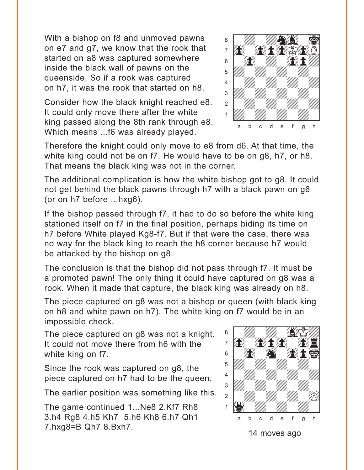With a bishop on f8 and unmoved pawns on e7 and g7, we know that the rook that started on a8 was captured somewhere inside the black wall of pawns on the queenside. So if a rook was captured on h7, it was the rook that started on h8.

Consider how the black knight reached e8. It could only move there after the white king passed along the 8th rank through e8. Which means ...f6 was already played.



Therefore the knight could only move to e8 from d6. At that time, the white king could not be on f7. He would have to be on g8, h7, or h8. That means the black king was not in the corner.

The additional complication is how the white bishop got to g8. It could not get behind the black pawns through h7 with a black pawn on g6 (or on h7 before ...hxg6).

If the bishop passed through f7, it had to do so before the white king stationed itself on f7 in the final position, perhaps biding its time on h7 before White played Kg8-f7. But if that were the case, there was no way for the black king to reach the h8 corner because h7 would be attacked by the bishop on g8.

The conclusion is that the bishop did not pass through f7. It must be a promoted pawn! The only thing it could have captured on g8 was a rook. When it made that capture, the black king was already on h8.

The piece captured on g8 was not a bishop or queen (with black king on h8 and white pawn on h7). The white king on f7 would be in an impossible check. with the sum of the sum of the sum of the sum of the sum of the sum of the sum of the sum of the sum of the sum of the sum of the sum of the sum of the sum of the sum of the sum of the sum of the sum of the sum of the sum

The piece captured on g8 was not a knight. It could not move there from h6 with the white king on f7.

Since the rook was captured on g8, the piece captured on h7 had to be the queen.

The earlier position was something like this.

The game continued 1...Ne8 2.Kf7 Rh8 3.h4 Rg8 4.h5 Kh7 5.h6 Kh8 6.h7 Qh1 7.hxg8=B Qh7 8.Bxh7.



14 moves ago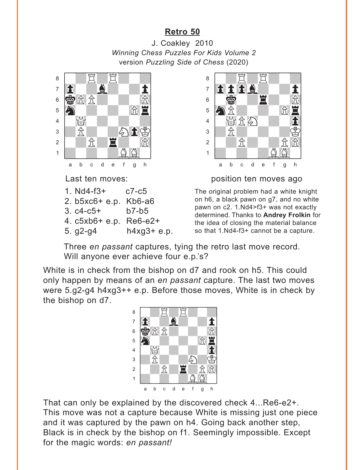### **Retro 50**

<span id="page-13-0"></span>J. [Coakley 20](#page-4-0)10 *Winning Chess Puzzles For Kids Volume 2* version *Puzzling Side of Chess* (2020)<br>Were well as a warm with the same was a warm of the same was a warm of the same was a warm of the same was a wa



- 4. c5xb6+ e.p. Re6-e2+
- 5. g2-g4 h4xg3+ e.p.



The original problem had a white knight on h6, a black pawn on g7, and no white pawn on c2. 1.Nd4>f3+ was not exactly determined. Thanks to **Andrey Frolkin** for the idea of closing the material balance so that 1.Nd4-f3+ cannot be a capture.

Three *en passant* captures, tying the retro last move record. Will anyone ever achieve four e.p.'s?

White is in check from the bishop on d7 and rook on h5. This could only happen by means of an *en passant* capture. The last two moves were 5.g2-g4 h4xg3++ e.p. Before those moves, White is in check by the bishop on d7. where  $\frac{1}{2}$  and  $\frac{1}{2}$  are the set of the set of the set of the set of the set of the set of the set of the set of the set of the set of the set of the set of the set of the set of the set of the set of the set of



That can only be explained by the discovered check 4...Re6-e2+. This move was not a capture because White is missing just one piece and it was captured by the pawn on h4. Going back another step, Black is in check by the bishop on f1. Seemingly impossible. Except for the magic words: *en passant!*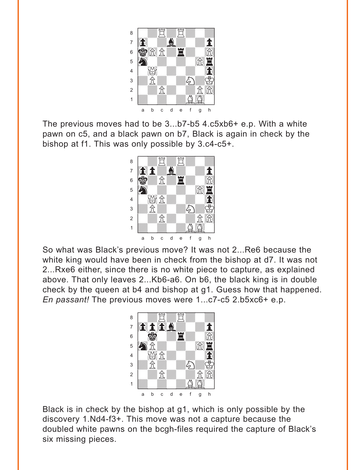

The previous moves had to be 3...b7-b5 4.c5xb6+ e.p. With a white pawn on c5, and a black pawn on b7, Black is again in check by the bishop at f1. This was only possible by 3.c4-c5+.



So what was Black's previous move? It was not 2...Re6 because the white king would have been in check from the bishop at d7. It was not 2...Rxe6 either, since there is no white piece to capture, as explained above. That only leaves 2...Kb6-a6. On b6, the black king is in double check by the queen at b4 and bishop at g1. Guess how that happened. *En passant!* The previous moves were 1...c7-c5 2.b5xc6+ e.p.



Black is in check by the bishop at g1, which is only possible by the discovery 1.Nd4-f3+. This move was not a capture because the doubled white pawns on the bcgh-files required the capture of Black's six missing pieces.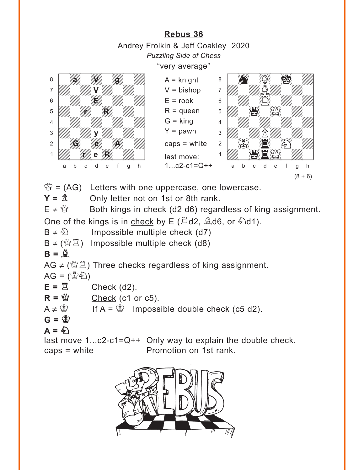<span id="page-15-0"></span>

 $\mathcal{B} = (AG)$  Letters with one uppercase, one lowercase.

 $Y = \hat{\mathbb{A}}$  Only letter not on 1st or 8th rank.

 $E \neq \frac{M}{Q}$  Both kings in check (d2 d6) regardless of king assignment. One of the kings is in check by E ( $\Xi$ d2,  $\angle$ d6, or  $\angle$ d1).

 $B \neq \hat{\mathbb{Q}}$  Impossible multiple check (d7)

B  $\neq$  ( $\sqrt[3]{2}$ ) Impossible multiple check (d8)

### $B = \mathcal{Q}$

AG  $\neq$  ( $\mathcal{B}\mathbb{Z}$ ) Three checks regardless of king assignment.

- $AG = (\mathbb{S}\mathbb{Z})$
- $E = \mathbb{E}$  Check (d2).
- $R = \frac{M}{Q}$  Check (c1 or c5).
- $A \neq \mathbb{S}$  If  $A = \mathbb{S}$  Impossible double check (c5 d2).
- $G = \mathfrak{B}$
- $A = \hat{B}$

last move 1...c2-c1=Q++ Only way to explain the double check. caps = white Promotion on 1st rank.

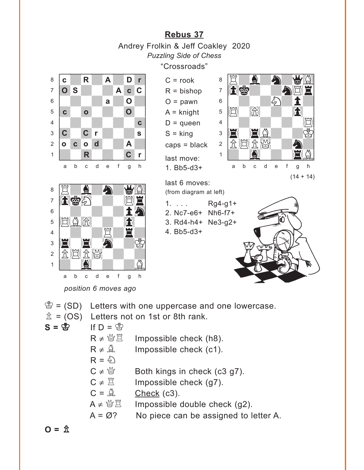## Rebus 37

Andrey Frolkin & Jeff Coakley 2020 **Puzzling Side of Chess** 

"Crossroads"

<span id="page-16-0"></span>

- 
- $S = \frac{1}{2}$ If  $D = \mathcal{B}$  $R \neq \mathcal{B}(\mathbb{Z})$ 
	- Impossible check (h8).
	- Impossible check (c1).  $R \neq \mathcal{Q}$
	- $R = \hat{\varphi}$
	- $C \neq \mathbb{N}$ Both kings in check (c3 g7).
	- $C \neq \Xi$ Impossible check (g7).
	- $C = \mathbb{Q}$ Check (c3).
	- $A \neq \, \overset{M}{\boxtimes} \, \overset{m}{\boxtimes}$ Impossible double check (g2).
	- No piece can be assigned to letter A.  $A = \varnothing$ ?

$$
O = \hat{\mathbb{Z}}
$$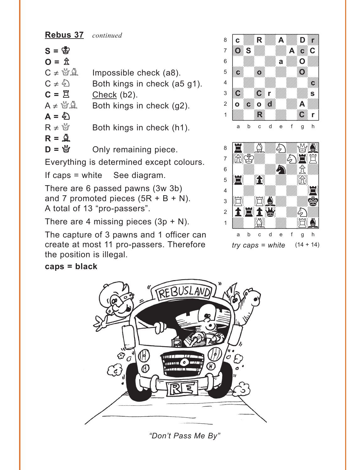## Rebus 37 continued

- $S = \bigcirc$
- $Q = \hat{\mathbb{Z}}$

 $C \neq \mathbb{Z} \mathbb{Z}$ Impossible check (a8).

- Both kings in check (a5 g1).  $C \neq \hat{\varphi}$
- $C = \overline{Z}$  $Check (b2).$
- $A \neq \mathbb{A} \mathbb{Q}$ Both kings in check (g2).
- $R \neq \frac{M}{M}$ Both kings in check (h1).
- $R = \mathbf{\mathfrak{Q}}$

 $A = \xi$ 

 $D = \frac{M}{2}$ Only remaining piece.

Everything is determined except colours.

If caps  $=$  white See diagram.

There are 6 passed pawns (3w 3b) and 7 promoted pieces  $(5R + B + N)$ . A total of 13 "pro-passers".

There are 4 missing pieces  $(3p + N)$ .

The capture of 3 pawns and 1 officer can create at most 11 pro-passers. Therefore the position is illegal.

#### $\,8\,$  $R^{\frac{3}{2}}$  $\mathbf c$ A D **BIS**  $\overline{7}$ A *XI*, C 6 a O  $\overline{5}$ ØŹ KU) 16. I  $\overline{4}$ K  $\mathfrak{Z}$ 4.TH <u>K</u>U),  $\mathbf{s}$  $\mathbf{r}$  $\circ$   $\mathscr{C}$   $\circ$  $\overline{2}$ A  $\mathbf{1}$ R Ø r  $\mathsf{C}$  $\mathsf{d}$ a  $\mathbf b$  $\mathsf{e}$  $\mathsf{f}$  $\mathsf{g}$  $h$ 8 金田  $\overline{7}$ ふー  $\,6\,$ Ą 5 E.  $\overline{4}$ 注 ●  $\mathfrak{S}$

 $\ddagger$ t  $\mathsf{a}$  $\mathsf{b}$  $\mathbf{c}$  $\mathsf{d}$  $\mathsf{e}$  $f$  $h$ g  $try \textit{caps} = white$  $(14 + 14)$ 

 $\overline{2}$ 

 $\mathbf{1}$ 

#### $caps = black$



"Don't Pass Me By"